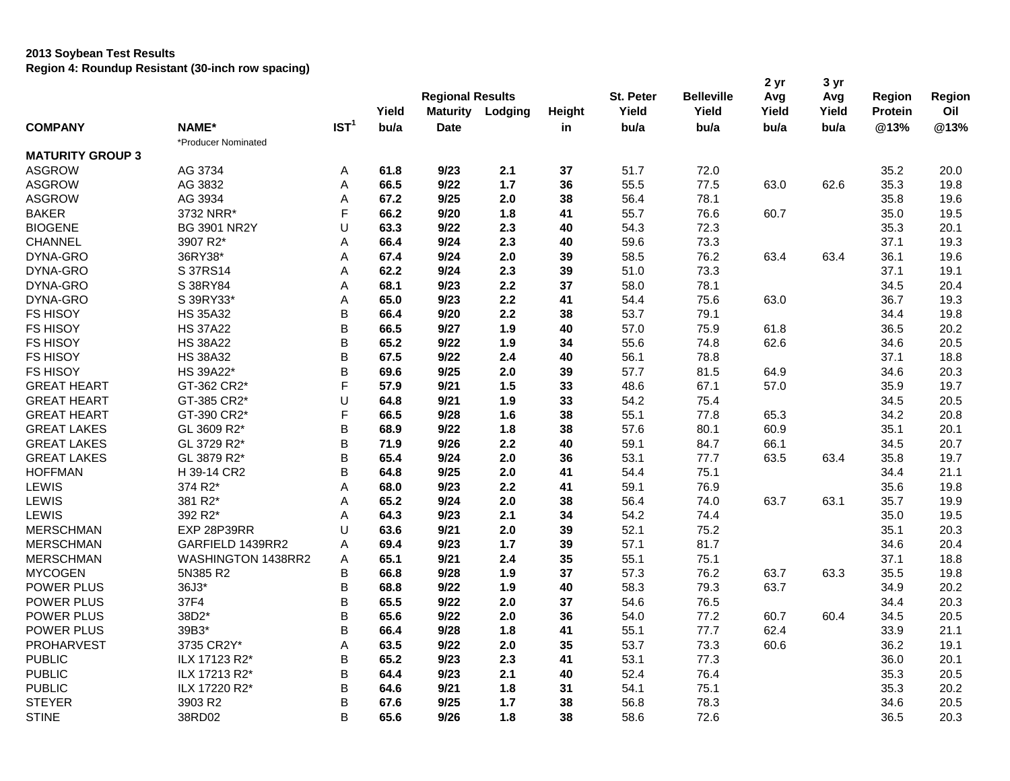## **2013 Soybean Test Results Region 4: Roundup Resistant (30-inch row spacing)**

|                         |                     |                  | Yield | <b>Regional Results</b><br><b>Maturity</b> | Lodging | Height | St. Peter<br>Yield | <b>Belleville</b><br>Yield | 2 yr<br>Avg<br>Yield | 3 yr<br>Avg<br>Yield | <b>Region</b><br><b>Protein</b> | Region<br>Oil |
|-------------------------|---------------------|------------------|-------|--------------------------------------------|---------|--------|--------------------|----------------------------|----------------------|----------------------|---------------------------------|---------------|
| <b>COMPANY</b>          | NAME*               | IST <sup>1</sup> | bu/a  | <b>Date</b>                                |         | in     | bu/a               | bu/a                       | bu/a                 | bu/a                 | @13%                            | @13%          |
|                         | *Producer Nominated |                  |       |                                            |         |        |                    |                            |                      |                      |                                 |               |
| <b>MATURITY GROUP 3</b> |                     |                  |       |                                            |         |        |                    |                            |                      |                      |                                 |               |
| <b>ASGROW</b>           | AG 3734             | Α                | 61.8  | 9/23                                       | 2.1     | 37     | 51.7               | 72.0                       |                      |                      | 35.2                            | 20.0          |
| <b>ASGROW</b>           | AG 3832             | Α                | 66.5  | 9/22                                       | $1.7$   | 36     | 55.5               | 77.5                       | 63.0                 | 62.6                 | 35.3                            | 19.8          |
| <b>ASGROW</b>           | AG 3934             | Α                | 67.2  | 9/25                                       | 2.0     | 38     | 56.4               | 78.1                       |                      |                      | 35.8                            | 19.6          |
| <b>BAKER</b>            | 3732 NRR*           | F                | 66.2  | 9/20                                       | 1.8     | 41     | 55.7               | 76.6                       | 60.7                 |                      | 35.0                            | 19.5          |
| <b>BIOGENE</b>          | <b>BG 3901 NR2Y</b> | U                | 63.3  | 9/22                                       | 2.3     | 40     | 54.3               | 72.3                       |                      |                      | 35.3                            | 20.1          |
| <b>CHANNEL</b>          | 3907 R2*            | Α                | 66.4  | 9/24                                       | 2.3     | 40     | 59.6               | 73.3                       |                      |                      | 37.1                            | 19.3          |
| DYNA-GRO                | 36RY38*             | A                | 67.4  | 9/24                                       | 2.0     | 39     | 58.5               | 76.2                       | 63.4                 | 63.4                 | 36.1                            | 19.6          |
| DYNA-GRO                | S 37RS14            | Α                | 62.2  | 9/24                                       | 2.3     | 39     | 51.0               | 73.3                       |                      |                      | 37.1                            | 19.1          |
| DYNA-GRO                | S 38RY84            | Α                | 68.1  | 9/23                                       | 2.2     | 37     | 58.0               | 78.1                       |                      |                      | 34.5                            | 20.4          |
| DYNA-GRO                | S 39RY33*           | A                | 65.0  | 9/23                                       | 2.2     | 41     | 54.4               | 75.6                       | 63.0                 |                      | 36.7                            | 19.3          |
| <b>FS HISOY</b>         | <b>HS 35A32</b>     | B                | 66.4  | 9/20                                       | 2.2     | 38     | 53.7               | 79.1                       |                      |                      | 34.4                            | 19.8          |
| <b>FS HISOY</b>         | <b>HS 37A22</b>     | B                | 66.5  | 9/27                                       | 1.9     | 40     | 57.0               | 75.9                       | 61.8                 |                      | 36.5                            | 20.2          |
| <b>FS HISOY</b>         | <b>HS 38A22</b>     | B                | 65.2  | 9/22                                       | 1.9     | 34     | 55.6               | 74.8                       | 62.6                 |                      | 34.6                            | 20.5          |
| <b>FS HISOY</b>         | <b>HS 38A32</b>     | B                | 67.5  | 9/22                                       | 2.4     | 40     | 56.1               | 78.8                       |                      |                      | 37.1                            | 18.8          |
| <b>FS HISOY</b>         | HS 39A22*           | B                | 69.6  | 9/25                                       | 2.0     | 39     | 57.7               | 81.5                       | 64.9                 |                      | 34.6                            | 20.3          |
| <b>GREAT HEART</b>      | GT-362 CR2*         | F                | 57.9  | 9/21                                       | 1.5     | 33     | 48.6               | 67.1                       | 57.0                 |                      | 35.9                            | 19.7          |
| <b>GREAT HEART</b>      | GT-385 CR2*         | U                | 64.8  | 9/21                                       | 1.9     | 33     | 54.2               | 75.4                       |                      |                      | 34.5                            | 20.5          |
| <b>GREAT HEART</b>      | GT-390 CR2*         | F                | 66.5  | 9/28                                       | 1.6     | 38     | 55.1               | 77.8                       | 65.3                 |                      | 34.2                            | 20.8          |
| <b>GREAT LAKES</b>      | GL 3609 R2*         | B                | 68.9  | 9/22                                       | 1.8     | 38     | 57.6               | 80.1                       | 60.9                 |                      | 35.1                            | 20.1          |
| <b>GREAT LAKES</b>      | GL 3729 R2*         | B                | 71.9  | 9/26                                       | 2.2     | 40     | 59.1               | 84.7                       | 66.1                 |                      | 34.5                            | 20.7          |
| <b>GREAT LAKES</b>      | GL 3879 R2*         | B                | 65.4  | 9/24                                       | 2.0     | 36     | 53.1               | 77.7                       | 63.5                 | 63.4                 | 35.8                            | 19.7          |
| <b>HOFFMAN</b>          | H 39-14 CR2         | B                | 64.8  | 9/25                                       | 2.0     | 41     | 54.4               | 75.1                       |                      |                      | 34.4                            | 21.1          |
| LEWIS                   | 374 R2*             | A                | 68.0  | 9/23                                       | 2.2     | 41     | 59.1               | 76.9                       |                      |                      | 35.6                            | 19.8          |
| LEWIS                   | 381 R2*             | Α                | 65.2  | 9/24                                       | 2.0     | 38     | 56.4               | 74.0                       | 63.7                 | 63.1                 | 35.7                            | 19.9          |
| <b>LEWIS</b>            | 392 R2*             | Α                | 64.3  | 9/23                                       | 2.1     | 34     | 54.2               | 74.4                       |                      |                      | 35.0                            | 19.5          |
| <b>MERSCHMAN</b>        | EXP 28P39RR         | U                | 63.6  | 9/21                                       | 2.0     | 39     | 52.1               | 75.2                       |                      |                      | 35.1                            | 20.3          |
| <b>MERSCHMAN</b>        | GARFIELD 1439RR2    | Α                | 69.4  | 9/23                                       | $1.7$   | 39     | 57.1               | 81.7                       |                      |                      | 34.6                            | 20.4          |
| <b>MERSCHMAN</b>        | WASHINGTON 1438RR2  | Α                | 65.1  | 9/21                                       | 2.4     | 35     | 55.1               | 75.1                       |                      |                      | 37.1                            | 18.8          |
| <b>MYCOGEN</b>          | 5N385 R2            | B                | 66.8  | 9/28                                       | 1.9     | 37     | 57.3               | 76.2                       | 63.7                 | 63.3                 | 35.5                            | 19.8          |
| POWER PLUS              | 36J3*               | B                | 68.8  | 9/22                                       | 1.9     | 40     | 58.3               | 79.3                       | 63.7                 |                      | 34.9                            | 20.2          |
| POWER PLUS              | 37F4                | B                | 65.5  | 9/22                                       | 2.0     | 37     | 54.6               | 76.5                       |                      |                      | 34.4                            | 20.3          |
| <b>POWER PLUS</b>       | 38D2*               | B                | 65.6  | 9/22                                       | 2.0     | 36     | 54.0               | 77.2                       | 60.7                 | 60.4                 | 34.5                            | 20.5          |
| POWER PLUS              | 39B3*               | B                | 66.4  | 9/28                                       | 1.8     | 41     | 55.1               | 77.7                       | 62.4                 |                      | 33.9                            | 21.1          |
| PROHARVEST              | 3735 CR2Y*          | A                | 63.5  | 9/22                                       | 2.0     | 35     | 53.7               | 73.3                       | 60.6                 |                      | 36.2                            | 19.1          |
| <b>PUBLIC</b>           | ILX 17123 R2*       | В                | 65.2  | 9/23                                       | 2.3     | 41     | 53.1               | 77.3                       |                      |                      | 36.0                            | 20.1          |
| <b>PUBLIC</b>           | ILX 17213 R2*       | B                | 64.4  | 9/23                                       | 2.1     | 40     | 52.4               | 76.4                       |                      |                      | 35.3                            | 20.5          |
| <b>PUBLIC</b>           | ILX 17220 R2*       | B                | 64.6  | 9/21                                       | 1.8     | 31     | 54.1               | 75.1                       |                      |                      | 35.3                            | 20.2          |
| <b>STEYER</b>           | 3903 R2             | B                | 67.6  | 9/25                                       | 1.7     | 38     | 56.8               | 78.3                       |                      |                      | 34.6                            | 20.5          |
| <b>STINE</b>            | 38RD02              | B                | 65.6  | 9/26                                       | 1.8     | 38     | 58.6               | 72.6                       |                      |                      | 36.5                            | 20.3          |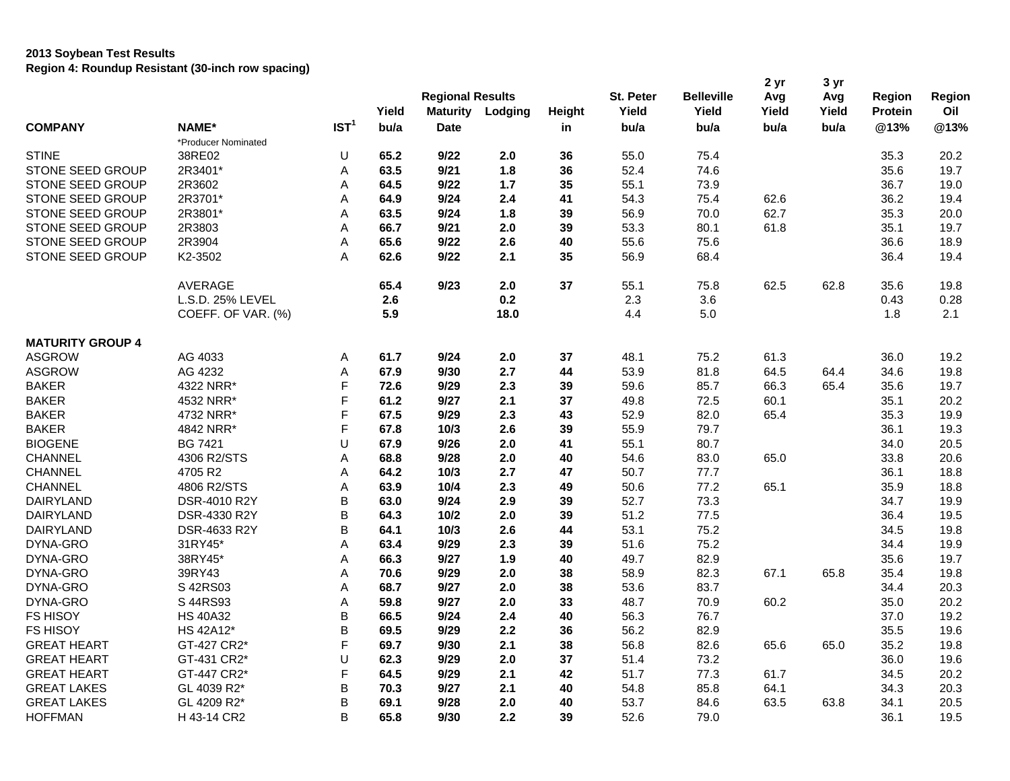## **2013 Soybean Test Results Region 4: Roundup Resistant (30-inch row spacing)**

|                         |                     |                  | Yield | <b>Regional Results</b><br><b>Maturity</b> | Lodging | Height | St. Peter<br>Yield | <b>Belleville</b><br>Yield | 2 yr<br>Avg<br>Yield | 3 yr<br>Avg<br>Yield | Region<br><b>Protein</b> | Region<br>Oil |
|-------------------------|---------------------|------------------|-------|--------------------------------------------|---------|--------|--------------------|----------------------------|----------------------|----------------------|--------------------------|---------------|
| <b>COMPANY</b>          | NAME*               | IST <sup>1</sup> | bu/a  | <b>Date</b>                                |         | in     | bu/a               | bu/a                       | bu/a                 | bu/a                 | @13%                     | @13%          |
|                         | *Producer Nominated |                  |       |                                            |         |        |                    |                            |                      |                      |                          |               |
| <b>STINE</b>            | 38RE02              | U                | 65.2  | 9/22                                       | 2.0     | 36     | 55.0               | 75.4                       |                      |                      | 35.3                     | 20.2          |
| STONE SEED GROUP        | 2R3401*             | Α                | 63.5  | 9/21                                       | 1.8     | 36     | 52.4               | 74.6                       |                      |                      | 35.6                     | 19.7          |
| STONE SEED GROUP        | 2R3602              | Α                | 64.5  | 9/22                                       | $1.7$   | 35     | 55.1               | 73.9                       |                      |                      | 36.7                     | 19.0          |
| STONE SEED GROUP        | 2R3701*             | A                | 64.9  | 9/24                                       | 2.4     | 41     | 54.3               | 75.4                       | 62.6                 |                      | 36.2                     | 19.4          |
| STONE SEED GROUP        | 2R3801*             | Α                | 63.5  | 9/24                                       | 1.8     | 39     | 56.9               | 70.0                       | 62.7                 |                      | 35.3                     | 20.0          |
| STONE SEED GROUP        | 2R3803              | Α                | 66.7  | 9/21                                       | 2.0     | 39     | 53.3               | 80.1                       | 61.8                 |                      | 35.1                     | 19.7          |
| STONE SEED GROUP        | 2R3904              | A                | 65.6  | 9/22                                       | 2.6     | 40     | 55.6               | 75.6                       |                      |                      | 36.6                     | 18.9          |
| STONE SEED GROUP        | K2-3502             | A                | 62.6  | 9/22                                       | 2.1     | 35     | 56.9               | 68.4                       |                      |                      | 36.4                     | 19.4          |
|                         | <b>AVERAGE</b>      |                  | 65.4  | 9/23                                       | 2.0     | 37     | 55.1               | 75.8                       | 62.5                 | 62.8                 | 35.6                     | 19.8          |
|                         | L.S.D. 25% LEVEL    |                  | 2.6   |                                            | 0.2     |        | 2.3                | 3.6                        |                      |                      | 0.43                     | 0.28          |
|                         | COEFF. OF VAR. (%)  |                  | 5.9   |                                            | 18.0    |        | 4.4                | 5.0                        |                      |                      | 1.8                      | 2.1           |
| <b>MATURITY GROUP 4</b> |                     |                  |       |                                            |         |        |                    |                            |                      |                      |                          |               |
| <b>ASGROW</b>           | AG 4033             | Α                | 61.7  | 9/24                                       | 2.0     | 37     | 48.1               | 75.2                       | 61.3                 |                      | 36.0                     | 19.2          |
| <b>ASGROW</b>           | AG 4232             | Α                | 67.9  | 9/30                                       | 2.7     | 44     | 53.9               | 81.8                       | 64.5                 | 64.4                 | 34.6                     | 19.8          |
| <b>BAKER</b>            | 4322 NRR*           | F                | 72.6  | 9/29                                       | 2.3     | 39     | 59.6               | 85.7                       | 66.3                 | 65.4                 | 35.6                     | 19.7          |
| <b>BAKER</b>            | 4532 NRR*           | F                | 61.2  | 9/27                                       | 2.1     | 37     | 49.8               | 72.5                       | 60.1                 |                      | 35.1                     | 20.2          |
| <b>BAKER</b>            | 4732 NRR*           | F                | 67.5  | 9/29                                       | 2.3     | 43     | 52.9               | 82.0                       | 65.4                 |                      | 35.3                     | 19.9          |
| <b>BAKER</b>            | 4842 NRR*           | F                | 67.8  | 10/3                                       | 2.6     | 39     | 55.9               | 79.7                       |                      |                      | 36.1                     | 19.3          |
| <b>BIOGENE</b>          | <b>BG 7421</b>      | U                | 67.9  | 9/26                                       | 2.0     | 41     | 55.1               | 80.7                       |                      |                      | 34.0                     | 20.5          |
| <b>CHANNEL</b>          | 4306 R2/STS         | Α                | 68.8  | 9/28                                       | 2.0     | 40     | 54.6               | 83.0                       | 65.0                 |                      | 33.8                     | 20.6          |
| <b>CHANNEL</b>          | 4705 R2             | Α                | 64.2  | 10/3                                       | 2.7     | 47     | 50.7               | 77.7                       |                      |                      | 36.1                     | 18.8          |
| <b>CHANNEL</b>          | 4806 R2/STS         | Α                | 63.9  | 10/4                                       | 2.3     | 49     | 50.6               | 77.2                       | 65.1                 |                      | 35.9                     | 18.8          |
| DAIRYLAND               | DSR-4010 R2Y        | В                | 63.0  | 9/24                                       | 2.9     | 39     | 52.7               | 73.3                       |                      |                      | 34.7                     | 19.9          |
| <b>DAIRYLAND</b>        | DSR-4330 R2Y        | B                | 64.3  | $10/2$                                     | 2.0     | 39     | 51.2               | 77.5                       |                      |                      | 36.4                     | 19.5          |
| <b>DAIRYLAND</b>        | DSR-4633 R2Y        | B                | 64.1  | 10/3                                       | 2.6     | 44     | 53.1               | 75.2                       |                      |                      | 34.5                     | 19.8          |
| DYNA-GRO                | 31RY45*             | Α                | 63.4  | 9/29                                       | 2.3     | 39     | 51.6               | 75.2                       |                      |                      | 34.4                     | 19.9          |
| DYNA-GRO                | 38RY45*             | Α                | 66.3  | 9/27                                       | 1.9     | 40     | 49.7               | 82.9                       |                      |                      | 35.6                     | 19.7          |
| DYNA-GRO                | 39RY43              | A                | 70.6  | 9/29                                       | 2.0     | 38     | 58.9               | 82.3                       | 67.1                 | 65.8                 | 35.4                     | 19.8          |
| DYNA-GRO                | S 42RS03            | Α                | 68.7  | 9/27                                       | 2.0     | 38     | 53.6               | 83.7                       |                      |                      | 34.4                     | 20.3          |
| DYNA-GRO                | S 44RS93            | Α                | 59.8  | 9/27                                       | 2.0     | 33     | 48.7               | 70.9                       | 60.2                 |                      | 35.0                     | 20.2          |
| <b>FS HISOY</b>         | <b>HS 40A32</b>     | В                | 66.5  | 9/24                                       | 2.4     | 40     | 56.3               | 76.7                       |                      |                      | 37.0                     | 19.2          |
| <b>FS HISOY</b>         | HS 42A12*           | В                | 69.5  | 9/29                                       | 2.2     | 36     | 56.2               | 82.9                       |                      |                      | 35.5                     | 19.6          |
| <b>GREAT HEART</b>      | GT-427 CR2*         | F                | 69.7  | 9/30                                       | 2.1     | 38     | 56.8               | 82.6                       | 65.6                 | 65.0                 | 35.2                     | 19.8          |
| <b>GREAT HEART</b>      | GT-431 CR2*         | U                | 62.3  | 9/29                                       | 2.0     | 37     | 51.4               | 73.2                       |                      |                      | 36.0                     | 19.6          |
| <b>GREAT HEART</b>      | GT-447 CR2*         | F                | 64.5  | 9/29                                       | 2.1     | 42     | 51.7               | 77.3                       | 61.7                 |                      | 34.5                     | 20.2          |
| <b>GREAT LAKES</b>      | GL 4039 R2*         | B                | 70.3  | 9/27                                       | 2.1     | 40     | 54.8               | 85.8                       | 64.1                 |                      | 34.3                     | 20.3          |
| <b>GREAT LAKES</b>      | GL 4209 R2*         | B                | 69.1  | 9/28                                       | 2.0     | 40     | 53.7               | 84.6                       | 63.5                 | 63.8                 | 34.1                     | 20.5          |
| <b>HOFFMAN</b>          | H 43-14 CR2         | B                | 65.8  | 9/30                                       | 2.2     | 39     | 52.6               | 79.0                       |                      |                      | 36.1                     | 19.5          |